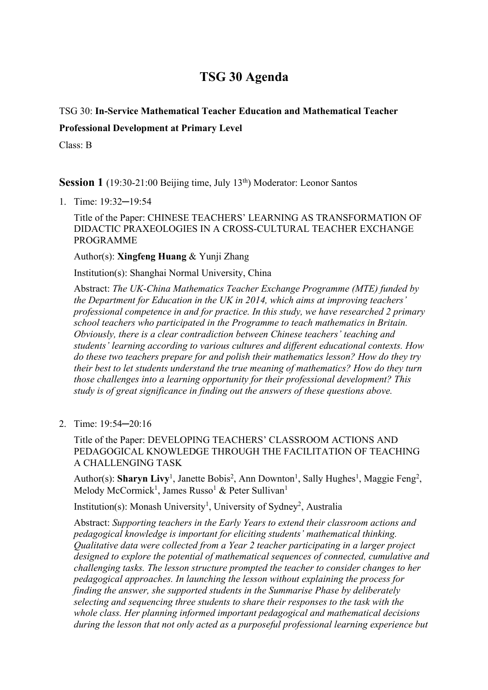# **TSG 30 Agenda**

# TSG 30: **In-Service Mathematical Teacher Education and Mathematical Teacher**

### **Professional Development at Primary Level**

Class: B

**Session 1** (19:30-21:00 Beijing time, July 13<sup>th</sup>) Moderator: Leonor Santos

1. Time: 19:32─19:54

Title of the Paper: CHINESE TEACHERS' LEARNING AS TRANSFORMATION OF DIDACTIC PRAXEOLOGIES IN A CROSS-CULTURAL TEACHER EXCHANGE PROGRAMME

Author(s): **Xingfeng Huang** & Yunji Zhang

Institution(s): Shanghai Normal University, China

Abstract: *The UK-China Mathematics Teacher Exchange Programme (MTE) funded by the Department for Education in the UK in 2014, which aims at improving teachers' professional competence in and for practice. In this study, we have researched 2 primary school teachers who participated in the Programme to teach mathematics in Britain. Obviously, there is a clear contradiction between Chinese teachers' teaching and students' learning according to various cultures and different educational contexts. How do these two teachers prepare for and polish their mathematics lesson? How do they try their best to let students understand the true meaning of mathematics? How do they turn those challenges into a learning opportunity for their professional development? This study is of great significance in finding out the answers of these questions above.*

2. Time: 19:54─20:16

Title of the Paper: DEVELOPING TEACHERS' CLASSROOM ACTIONS AND PEDAGOGICAL KNOWLEDGE THROUGH THE FACILITATION OF TEACHING A CHALLENGING TASK

Author(s): **Sharyn Livy**<sup>1</sup>, Janette Bobis<sup>2</sup>, Ann Downton<sup>1</sup>, Sally Hughes<sup>1</sup>, Maggie Feng<sup>2</sup>, Melody McCormick<sup>1</sup>, James Russo<sup>1</sup> & Peter Sullivan<sup>1</sup>

Institution(s): Monash University<sup>1</sup>, University of Sydney<sup>2</sup>, Australia

Abstract: *Supporting teachers in the Early Years to extend their classroom actions and pedagogical knowledge is important for eliciting students' mathematical thinking. Qualitative data were collected from a Year 2 teacher participating in a larger project designed to explore the potential of mathematical sequences of connected, cumulative and challenging tasks. The lesson structure prompted the teacher to consider changes to her pedagogical approaches. In launching the lesson without explaining the process for finding the answer, she supported students in the Summarise Phase by deliberately selecting and sequencing three students to share their responses to the task with the whole class. Her planning informed important pedagogical and mathematical decisions during the lesson that not only acted as a purposeful professional learning experience but*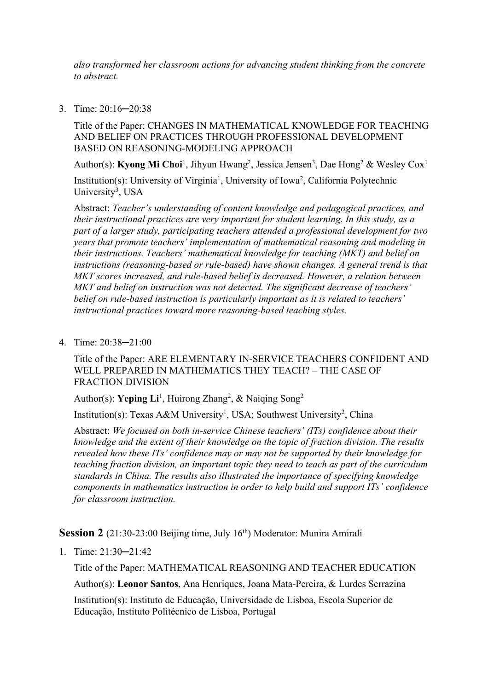*also transformed her classroom actions for advancing student thinking from the concrete to abstract.*

3. Time: 20:16─20:38

Title of the Paper: CHANGES IN MATHEMATICAL KNOWLEDGE FOR TEACHING AND BELIEF ON PRACTICES THROUGH PROFESSIONAL DEVELOPMENT BASED ON REASONING-MODELING APPROACH

Author(s): **Kyong Mi Choi**<sup>1</sup>, Jihyun Hwang<sup>2</sup>, Jessica Jensen<sup>3</sup>, Dae Hong<sup>2</sup> & Wesley Cox<sup>1</sup>

Institution(s): University of Virginia<sup>1</sup>, University of Iowa<sup>2</sup>, California Polytechnic University<sup>3</sup>, USA

Abstract: *Teacher's understanding of content knowledge and pedagogical practices, and their instructional practices are very important for student learning. In this study, as a part of a larger study, participating teachers attended a professional development for two years that promote teachers' implementation of mathematical reasoning and modeling in their instructions. Teachers' mathematical knowledge for teaching (MKT) and belief on instructions (reasoning-based or rule-based) have shown changes. A general trend is that MKT scores increased, and rule-based belief is decreased. However, a relation between MKT and belief on instruction was not detected. The significant decrease of teachers' belief on rule-based instruction is particularly important as it is related to teachers' instructional practices toward more reasoning-based teaching styles.*

4. Time: 20:38─21:00

Title of the Paper: ARE ELEMENTARY IN-SERVICE TEACHERS CONFIDENT AND WELL PREPARED IN MATHEMATICS THEY TEACH? – THE CASE OF FRACTION DIVISION

Author(s): Yeping Li<sup>1</sup>, Huirong Zhang<sup>2</sup>, & Naiqing Song<sup>2</sup>

Institution(s): Texas A&M University<sup>1</sup>, USA; Southwest University<sup>2</sup>, China

Abstract: *We focused on both in-service Chinese teachers' (ITs) confidence about their knowledge and the extent of their knowledge on the topic of fraction division. The results revealed how these ITs' confidence may or may not be supported by their knowledge for teaching fraction division, an important topic they need to teach as part of the curriculum standards in China. The results also illustrated the importance of specifying knowledge components in mathematics instruction in order to help build and support ITs' confidence for classroom instruction.*

**Session 2** (21:30-23:00 Beijing time, July 16<sup>th</sup>) Moderator: Munira Amirali

1. Time: 21:30─21:42

Title of the Paper: MATHEMATICAL REASONING AND TEACHER EDUCATION

Author(s): **Leonor Santos**, Ana Henriques, Joana Mata-Pereira, & Lurdes Serrazina

Institution(s): Instituto de Educação, Universidade de Lisboa, Escola Superior de Educação, Instituto Politécnico de Lisboa, Portugal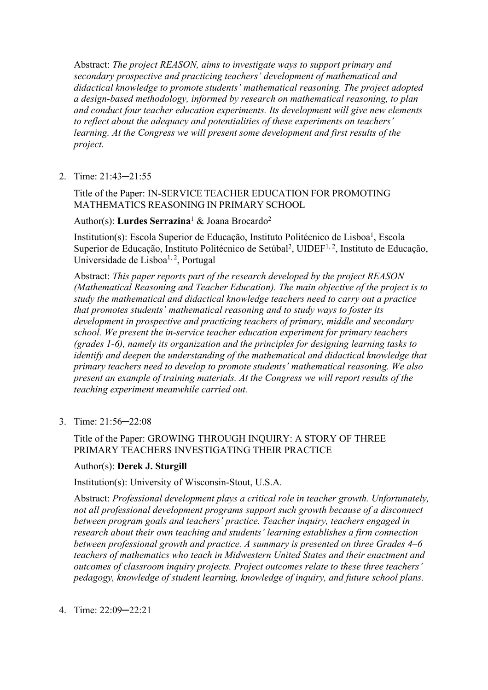Abstract: *The project REASON, aims to investigate ways to support primary and secondary prospective and practicing teachers' development of mathematical and didactical knowledge to promote students' mathematical reasoning. The project adopted a design-based methodology, informed by research on mathematical reasoning, to plan and conduct four teacher education experiments. Its development will give new elements to reflect about the adequacy and potentialities of these experiments on teachers' learning. At the Congress we will present some development and first results of the project.*

2. Time: 21:43─21:55

Title of the Paper: IN-SERVICE TEACHER EDUCATION FOR PROMOTING MATHEMATICS REASONING IN PRIMARY SCHOOL

Author(s): **Lurdes Serrazina**<sup>1</sup> & Joana Brocardo2

Institution(s): Escola Superior de Educação, Instituto Politécnico de Lisboa<sup>1</sup>, Escola Superior de Educação, Instituto Politécnico de Setúbal<sup>2</sup>, UIDEF<sup>1, 2</sup>, Instituto de Educação, Universidade de Lisboa<sup>1, 2</sup>, Portugal

Abstract: *This paper reports part of the research developed by the project REASON (Mathematical Reasoning and Teacher Education). The main objective of the project is to study the mathematical and didactical knowledge teachers need to carry out a practice that promotes students' mathematical reasoning and to study ways to foster its development in prospective and practicing teachers of primary, middle and secondary school. We present the in-service teacher education experiment for primary teachers (grades 1-6), namely its organization and the principles for designing learning tasks to identify and deepen the understanding of the mathematical and didactical knowledge that primary teachers need to develop to promote students' mathematical reasoning. We also present an example of training materials. At the Congress we will report results of the teaching experiment meanwhile carried out.*

3. Time: 21:56─22:08

# Title of the Paper: GROWING THROUGH INQUIRY: A STORY OF THREE PRIMARY TEACHERS INVESTIGATING THEIR PRACTICE

# Author(s): **Derek J. Sturgill**

Institution(s): University of Wisconsin-Stout, U.S.A.

Abstract: *Professional development plays a critical role in teacher growth. Unfortunately, not all professional development programs support such growth because of a disconnect between program goals and teachers' practice. Teacher inquiry, teachers engaged in research about their own teaching and students' learning establishes a firm connection between professional growth and practice. A summary is presented on three Grades \–^ teachers of mathematics who teach in Midwestern United States and their enactment and outcomes of classroom inquiry projects. Project outcomes relate to these three teachers' pedagogy, knowledge of student learning, knowledge of inquiry, and future school plans.*

4. Time: 22:09─22:21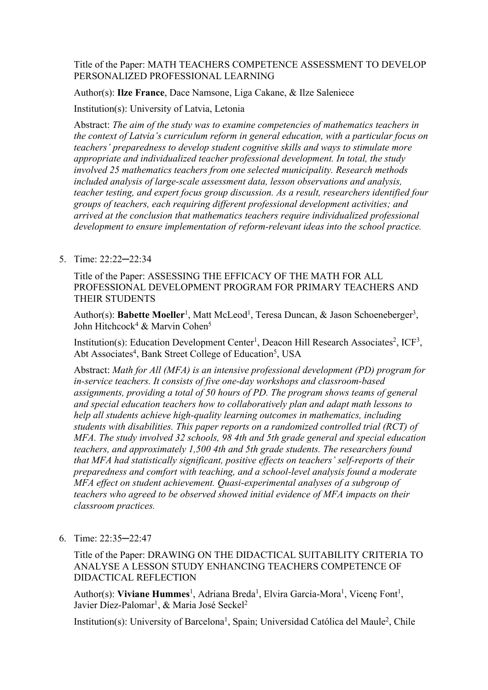# Title of the Paper: MATH TEACHERS COMPETENCE ASSESSMENT TO DEVELOP PERSONALIZED PROFESSIONAL LEARNING

Author(s): **Ilze France**, Dace Namsone, Liga Cakane, & Ilze Saleniece

# Institution(s): University of Latvia, Letonia

Abstract: *The aim of the study was to examine competencies of mathematics teachers in the context of Latvia's curriculum reform in general education, with a particular focus on teachers' preparedness to develop student cognitive skills and ways to stimulate more appropriate and individualized teacher professional development. In total, the study involved 25 mathematics teachers from one selected municipality. Research methods included analysis of large-scale assessment data, lesson observations and analysis, teacher testing, and expert focus group discussion. As a result, researchers identified four groups of teachers, each requiring different professional development activities; and arrived at the conclusion that mathematics teachers require individualized professional development to ensure implementation of reform-relevant ideas into the school practice.*

# 5. Time: 22:22─22:34

Title of the Paper: ASSESSING THE EFFICACY OF THE MATH FOR ALL PROFESSIONAL DEVELOPMENT PROGRAM FOR PRIMARY TEACHERS AND THEIR STUDENTS

Author(s): **Babette Moeller<sup>1</sup>,** Matt McLeod<sup>1</sup>, Teresa Duncan, & Jason Schoeneberger<sup>3</sup>, John Hitchcock<sup>4</sup> & Marvin Cohen<sup>5</sup>

Institution(s): Education Development Center<sup>1</sup>, Deacon Hill Research Associates<sup>2</sup>, ICF<sup>3</sup>, Abt Associates<sup>4</sup>, Bank Street College of Education<sup>5</sup>, USA

Abstract: *Math for All (MFA) is an intensive professional development (PD) program for in-service teachers. It consists of five one-day workshops and classroom-based assignments, providing a total of 50 hours of PD. The program shows teams of general and special education teachers how to collaboratively plan and adapt math lessons to help all students achieve high-quality learning outcomes in mathematics, including students with disabilities. This paper reports on a randomized controlled trial (RCT) of MFA. The study involved 32 schools, 98 4th and 5th grade general and special education teachers, and approximately 1,500 4th and 5th grade students. The researchers found that MFA had statistically significant, positive effects on teachers' self-reports of their preparedness and comfort with teaching, and a school-level analysis found a moderate MFA effect on student achievement. Quasi-experimental analyses of a subgroup of teachers who agreed to be observed showed initial evidence of MFA impacts on their classroom practices.*

6. Time: 22:35─22:47

Title of the Paper: DRAWING ON THE DIDACTICAL SUITABILITY CRITERIA TO ANALYSE A LESSON STUDY ENHANCING TEACHERS COMPETENCE OF DIDACTICAL REFLECTION

Author(s): Viviane Hummes<sup>1</sup>, Adriana Breda<sup>1</sup>, Elvira García-Mora<sup>1</sup>, Vicenç Font<sup>1</sup>, Javier Díez-Palomar<sup>1</sup>, & Maria José Seckel<sup>2</sup>

Institution(s): University of Barcelona<sup>1</sup>, Spain; Universidad Católica del Maule<sup>2</sup>, Chile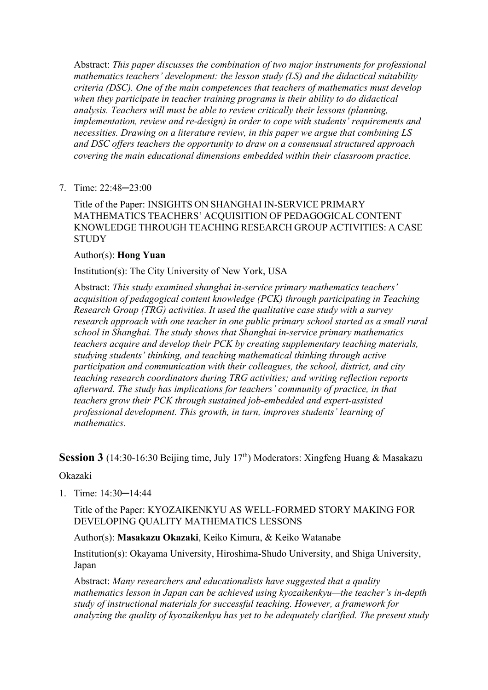Abstract: *This paper discusses the combination of two major instruments for professional mathematics teachers' development: the lesson study (LS) and the didactical suitability criteria (DSC). One of the main competences that teachers of mathematics must develop when they participate in teacher training programs is their ability to do didactical analysis. Teachers will must be able to review critically their lessons (planning, implementation, review and re-design) in order to cope with students' requirements and necessities. Drawing on a literature review, in this paper we argue that combining LS and DSC offers teachers the opportunity to draw on a consensual structured approach covering the main educational dimensions embedded within their classroom practice.*

7. Time: 22:48─23:00

Title of the Paper: INSIGHTS ON SHANGHAI IN-SERVICE PRIMARY MATHEMATICS TEACHERS' ACQUISITION OF PEDAGOGICAL CONTENT KNOWLEDGE THROUGH TEACHING RESEARCH GROUP ACTIVITIES: A CASE **STUDY** 

# Author(s): **Hong Yuan**

# Institution(s): The City University of New York, USA

Abstract: *This study examined shanghai in-service primary mathematics teachers' acquisition of pedagogical content knowledge (PCK) through participating in Teaching Research Group (TRG) activities. It used the qualitative case study with a survey research approach with one teacher in one public primary school started as a small rural school in Shanghai. The study shows that Shanghai in-service primary mathematics teachers acquire and develop their PCK by creating supplementary teaching materials, studying students' thinking, and teaching mathematical thinking through active participation and communication with their colleagues, the school, district, and city teaching research coordinators during TRG activities; and writing reflection reports afterward. The study has implications for teachers' community of practice, in that teachers grow their PCK through sustained job-embedded and expert-assisted professional development. This growth, in turn, improves students' learning of mathematics.*

# **Session 3** (14:30-16:30 Beijing time, July 17<sup>th</sup>) Moderators: Xingfeng Huang & Masakazu

#### Okazaki

1. Time: 14:30─14:44

Title of the Paper: KYOZAIKENKYU AS WELL-FORMED STORY MAKING FOR DEVELOPING QUALITY MATHEMATICS LESSONS

# Author(s): **Masakazu Okazaki**, Keiko Kimura, & Keiko Watanabe

Institution(s): Okayama University, Hiroshima-Shudo University, and Shiga University, Japan

Abstract: *Many researchers and educationalists have suggested that a quality mathematics lesson in Japan can be achieved using kyozaikenkyu—the teacher's in-depth study of instructional materials for successful teaching. However, a framework for analyzing the quality of kyozaikenkyu has yet to be adequately clarified. The present study*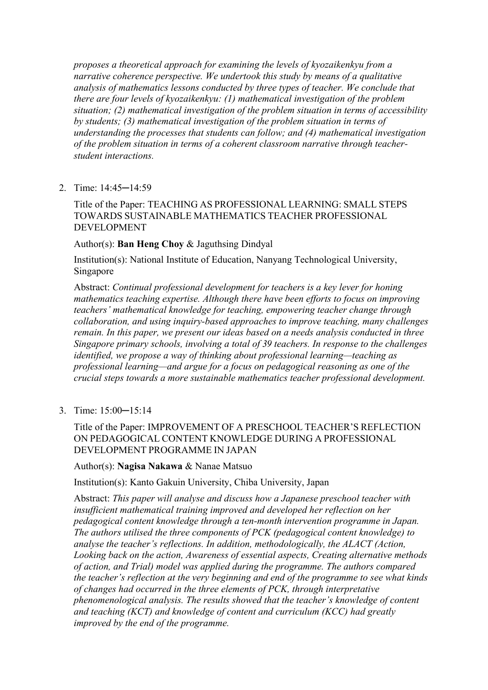*proposes a theoretical approach for examining the levels of kyozaikenkyu from a narrative coherence perspective. We undertook this study by means of a qualitative analysis of mathematics lessons conducted by three types of teacher. We conclude that there are four levels of kyozaikenkyu: (1) mathematical investigation of the problem situation; (2) mathematical investigation of the problem situation in terms of accessibility by students; (3) mathematical investigation of the problem situation in terms of understanding the processes that students can follow; and (4) mathematical investigation of the problem situation in terms of a coherent classroom narrative through teacherstudent interactions.*

2. Time: 14:45─14:59

Title of the Paper: TEACHING AS PROFESSIONAL LEARNING: SMALL STEPS TOWARDS SUSTAINABLE MATHEMATICS TEACHER PROFESSIONAL DEVELOPMENT

# Author(s): **Ban Heng Choy** & Jaguthsing Dindyal

Institution(s): National Institute of Education, Nanyang Technological University, Singapore

Abstract: *Continual professional development for teachers is a key lever for honing mathematics teaching expertise. Although there have been efforts to focus on improving teachers' mathematical knowledge for teaching, empowering teacher change through collaboration, and using inquiry-based approaches to improve teaching, many challenges remain. In this paper, we present our ideas based on a needs analysis conducted in three Singapore primary schools, involving a total of 39 teachers. In response to the challenges identified, we propose a way of thinking about professional learning—teaching as professional learning—and argue for a focus on pedagogical reasoning as one of the crucial steps towards a more sustainable mathematics teacher professional development.*

3. Time: 15:00─15:14

# Title of the Paper: IMPROVEMENT OF A PRESCHOOL TEACHER'S REFLECTION ON PEDAGOGICAL CONTENT KNOWLEDGE DURING A PROFESSIONAL DEVELOPMENT PROGRAMME IN JAPAN

#### Author(s): **Nagisa Nakawa** & Nanae Matsuo

Institution(s): Kanto Gakuin University, Chiba University, Japan

Abstract: *This paper will analyse and discuss how a Japanese preschool teacher with insufficient mathematical training improved and developed her reflection on her pedagogical content knowledge through a ten-month intervention programme in Japan. The authors utilised the three components of PCK (pedagogical content knowledge) to analyse the teacher's reflections. In addition, methodologically, the ALACT (Action, Looking back on the action, Awareness of essential aspects, Creating alternative methods of action, and Trial) model was applied during the programme. The authors compared the teacher's reflection at the very beginning and end of the programme to see what kinds of changes had occurred in the three elements of PCK, through interpretative phenomenological analysis. The results showed that the teacher's knowledge of content and teaching (KCT) and knowledge of content and curriculum (KCC) had greatly improved by the end of the programme.*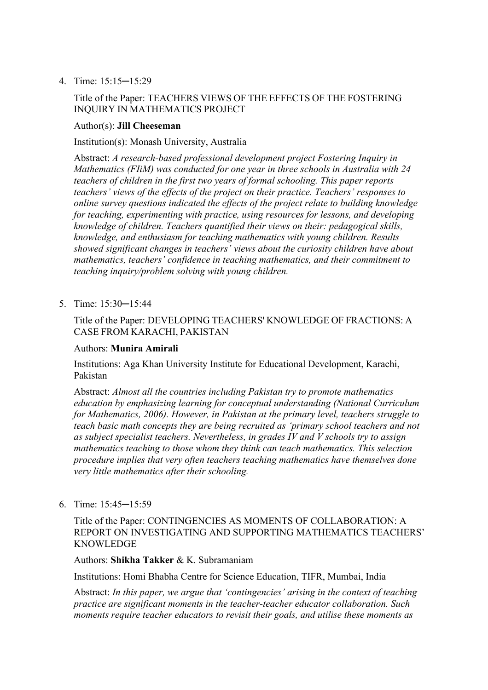4. Time: 15:15─15:29

# Title of the Paper: TEACHERS VIEWS OF THE EFFECTS OF THE FOSTERING INQUIRY IN MATHEMATICS PROJECT

#### Author(s): **Jill Cheeseman**

#### Institution(s): Monash University, Australia

Abstract: *A research-based professional development project Fostering Inquiry in Mathematics (FIiM) was conducted for one year in three schools in Australia with 24 teachers of children in the first two years of formal schooling. This paper reports teachers' views of the effects of the project on their practice. Teachers' responses to online survey questions indicated the effects of the project relate to building knowledge for teaching, experimenting with practice, using resources for lessons, and developing knowledge of children. Teachers quantified their views on their: pedagogical skills, knowledge, and enthusiasm for teaching mathematics with young children. Results showed significant changes in teachers' views about the curiosity children have about mathematics, teachers' confidence in teaching mathematics, and their commitment to teaching inquiry/problem solving with young children.*

5. Time: 15:30─15:44

# Title of the Paper: DEVELOPING TEACHERS' KNOWLEDGE OF FRACTIONS: A CASE FROM KARACHI, PAKISTAN

#### Authors: **Munira Amirali**

Institutions: Aga Khan University Institute for Educational Development, Karachi, Pakistan

Abstract: *Almost all the countries including Pakistan try to promote mathematics education by emphasizing learning for conceptual understanding (National Curriculum for Mathematics, 2006). However, in Pakistan at the primary level, teachers struggle to teach basic math concepts they are being recruited as 'primary school teachers and not as subject specialist teachers. Nevertheless, in grades IV and V schools try to assign mathematics teaching to those whom they think can teach mathematics. This selection procedure implies that very often teachers teaching mathematics have themselves done very little mathematics after their schooling.*

#### 6. Time: 15:45─15:59

Title of the Paper: CONTINGENCIES AS MOMENTS OF COLLABORATION: A REPORT ON INVESTIGATING AND SUPPORTING MATHEMATICS TEACHERS' KNOWLEDGE

### Authors: **Shikha Takker** & K. Subramaniam

Institutions: Homi Bhabha Centre for Science Education, TIFR, Mumbai, India

Abstract: *In this paper, we argue that 'contingencies' arising in the context of teaching practice are significant moments in the teacher-teacher educator collaboration. Such moments require teacher educators to revisit their goals, and utilise these moments as*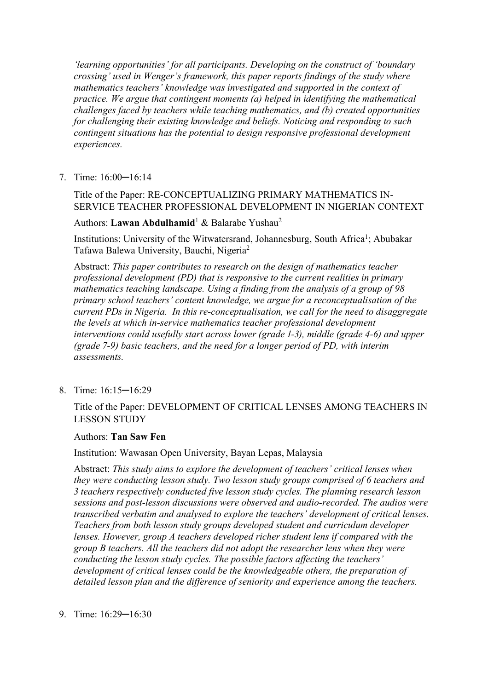*'learning opportunities' for all participants. Developing on the construct of 'boundary crossing' used in Wenger's framework, this paper reports findings of the study where mathematics teachers' knowledge was investigated and supported in the context of practice. We argue that contingent moments (a) helped in identifying the mathematical challenges faced by teachers while teaching mathematics, and (b) created opportunities for challenging their existing knowledge and beliefs. Noticing and responding to such contingent situations has the potential to design responsive professional development experiences.*

7. Time: 16:00─16:14

# Title of the Paper: RE-CONCEPTUALIZING PRIMARY MATHEMATICS IN-SERVICE TEACHER PROFESSIONAL DEVELOPMENT IN NIGERIAN CONTEXT

# Authors: **Lawan Abdulhamid**<sup>1</sup> & Balarabe Yushau2

Institutions: University of the Witwatersrand, Johannesburg, South Africa<sup>1</sup>; Abubakar Tafawa Balewa University, Bauchi, Nigeria2

Abstract: *This paper contributes to research on the design of mathematics teacher professional development (PD) that is responsive to the current realities in primary mathematics teaching landscape. Using a finding from the analysis of a group of 98 primary school teachers' content knowledge, we argue for a reconceptualisation of the current PDs in Nigeria. In this re-conceptualisation, we call for the need to disaggregate the levels at which in-service mathematics teacher professional development interventions could usefully start across lower (grade 1-3), middle (grade 4-6) and upper* (grade 7-9) basic teachers, and the need for a longer period of PD, with interim *assessments.*

8. Time: 16:15─16:29

# Title of the Paper: DEVELOPMENT OF CRITICAL LENSES AMONG TEACHERS IN LESSON STUDY

#### Authors: **Tan Saw Fen**

#### Institution: Wawasan Open University, Bayan Lepas, Malaysia

Abstract: *This study aims to explore the development of teachers' critical lenses when they were conducting lesson study. Two lesson study groups comprised of ^ teachers and i teachers respectively conducted five lesson study cycles. The planning research lesson sessions and post-lesson discussions were observed and audio-recorded. The audios were transcribed verbatim and analysed to explore the teachers' development of critical lenses. Teachers from both lesson study groups developed student and curriculum developer lenses. However, group A teachers developed richer student lens if compared with the group B teachers. All the teachers did not adopt the researcher lens when they were conducting the lesson study cycles. The possible factors affecting the teachers' development of critical lenses could be the knowledgeable others, the preparation of detailed lesson plan and the difference of seniority and experience among the teachers.*